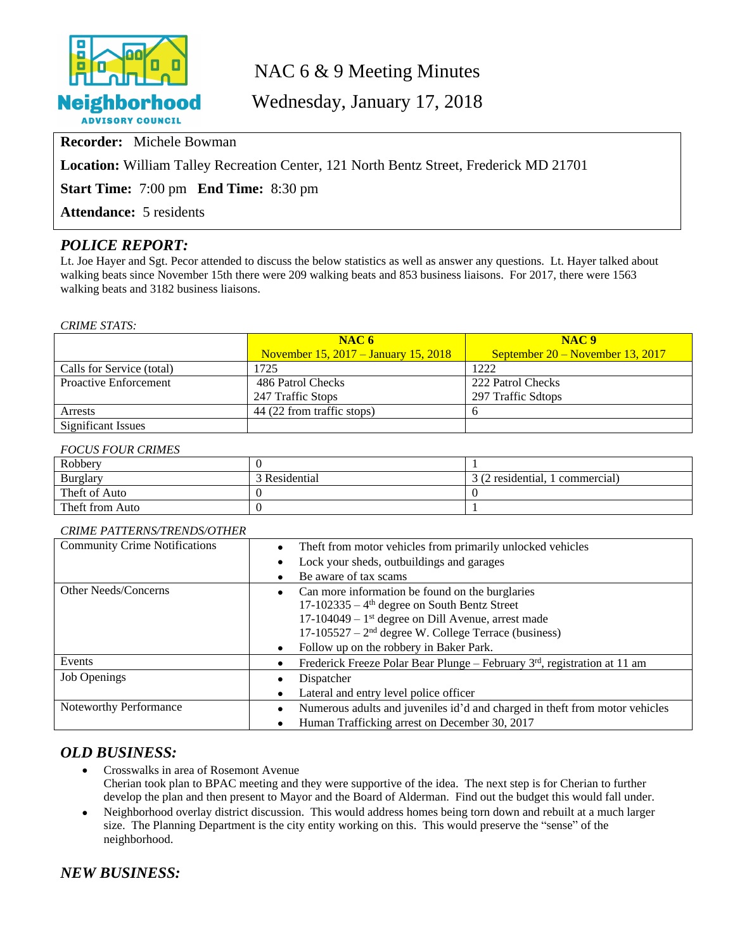

## NAC 6 & 9 Meeting Minutes

Wednesday, January 17, 2018

**Recorder:** Michele Bowman

**Location:** William Talley Recreation Center, 121 North Bentz Street, Frederick MD 21701

**Start Time:** 7:00 pm **End Time:** 8:30 pm

**Attendance:** 5 residents

## *POLICE REPORT:*

Lt. Joe Hayer and Sgt. Pecor attended to discuss the below statistics as well as answer any questions. Lt. Hayer talked about walking beats since November 15th there were 209 walking beats and 853 business liaisons. For 2017, there were 1563 walking beats and 3182 business liaisons.

#### *CRIME STATS:*

|                              | NAC6                                   | NAC <sub>9</sub>                   |  |
|------------------------------|----------------------------------------|------------------------------------|--|
|                              | November $15, 2017 - January 15, 2018$ | September $20 -$ November 13, 2017 |  |
| Calls for Service (total)    | 1725                                   | 1222                               |  |
| <b>Proactive Enforcement</b> | 486 Patrol Checks                      | 222 Patrol Checks                  |  |
|                              | 247 Traffic Stops                      | 297 Traffic Sdtops                 |  |
| Arrests                      | 44 (22 from traffic stops)             |                                    |  |
| <b>Significant Issues</b>    |                                        |                                    |  |

#### *FOCUS FOUR CRIMES*

| Robbery         |               |                                 |
|-----------------|---------------|---------------------------------|
| Burglary        | 3 Residential | 3 (2 residential, 1 commercial) |
| Theft of Auto   |               |                                 |
| Theft from Auto |               |                                 |

#### *CRIME PATTERNS/TRENDS/OTHER*

| <b>Community Crime Notifications</b> | Theft from motor vehicles from primarily unlocked vehicles<br>$\bullet$                  |  |
|--------------------------------------|------------------------------------------------------------------------------------------|--|
|                                      | Lock your sheds, outbuildings and garages<br>$\bullet$                                   |  |
|                                      | Be aware of tax scams                                                                    |  |
| Other Needs/Concerns                 | Can more information be found on the burglaries                                          |  |
|                                      | $17-102335 - 4$ <sup>th</sup> degree on South Bentz Street                               |  |
|                                      | $17-104049 - 1$ <sup>st</sup> degree on Dill Avenue, arrest made                         |  |
|                                      | $17-105527 - 2nd$ degree W. College Terrace (business)                                   |  |
|                                      | Follow up on the robbery in Baker Park.<br>$\bullet$                                     |  |
| Events                               | Frederick Freeze Polar Bear Plunge – February 3rd, registration at 11 am<br>$\bullet$    |  |
| <b>Job Openings</b>                  | Dispatcher<br>٠                                                                          |  |
|                                      | Lateral and entry level police officer<br>$\bullet$                                      |  |
| Noteworthy Performance               | Numerous adults and juveniles id'd and charged in theft from motor vehicles<br>$\bullet$ |  |
|                                      | Human Trafficking arrest on December 30, 2017<br>٠                                       |  |

#### *OLD BUSINESS:*

- Crosswalks in area of Rosemont Avenue Cherian took plan to BPAC meeting and they were supportive of the idea. The next step is for Cherian to further develop the plan and then present to Mayor and the Board of Alderman. Find out the budget this would fall under.
- Neighborhood overlay district discussion. This would address homes being torn down and rebuilt at a much larger size. The Planning Department is the city entity working on this. This would preserve the "sense" of the neighborhood.

## *NEW BUSINESS:*